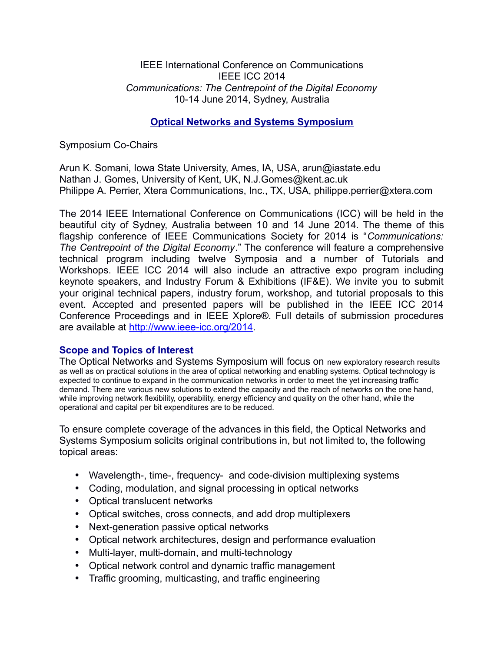### IEEE International Conference on Communications IEEE ICC 2014 *Communications: The Centrepoint of the Digital Economy* 10-14 June 2014, Sydney, Australia

# **Optical Networks and Systems Symposium**

Symposium Co-Chairs

Arun K. Somani, Iowa State University, Ames, IA, USA, arun@iastate.edu Nathan J. Gomes, University of Kent, UK, N.J.Gomes@kent.ac.uk Philippe A. Perrier, Xtera Communications, Inc., TX, USA, philippe.perrier@xtera.com

The 2014 IEEE International Conference on Communications (ICC) will be held in the beautiful city of Sydney, Australia between 10 and 14 June 2014. The theme of this flagship conference of IEEE Communications Society for 2014 is "*Communications: The Centrepoint of the Digital Economy*." The conference will feature a comprehensive technical program including twelve Symposia and a number of Tutorials and Workshops. IEEE ICC 2014 will also include an attractive expo program including keynote speakers, and Industry Forum & Exhibitions (IF&E). We invite you to submit your original technical papers, industry forum, workshop, and tutorial proposals to this event. Accepted and presented papers will be published in the IEEE ICC 2014 Conference Proceedings and in IEEE Xplore®. Full details of submission procedures are available at [http://www.ieee-icc.org/2014.](http://www.ieee-icc.org/2014)

## **Scope and Topics of Interest**

The Optical Networks and Systems Symposium will focus on new exploratory research results as well as on practical solutions in the area of optical networking and enabling systems. Optical technology is expected to continue to expand in the communication networks in order to meet the yet increasing traffic demand. There are various new solutions to extend the capacity and the reach of networks on the one hand, while improving network flexibility, operability, energy efficiency and quality on the other hand, while the operational and capital per bit expenditures are to be reduced.

To ensure complete coverage of the advances in this field, the Optical Networks and Systems Symposium solicits original contributions in, but not limited to, the following topical areas:

- Wavelength-, time-, frequency- and code-division multiplexing systems
- Coding, modulation, and signal processing in optical networks
- Optical translucent networks
- Optical switches, cross connects, and add drop multiplexers
- Next-generation passive optical networks
- Optical network architectures, design and performance evaluation
- Multi-layer, multi-domain, and multi-technology
- Optical network control and dynamic traffic management
- Traffic grooming, multicasting, and traffic engineering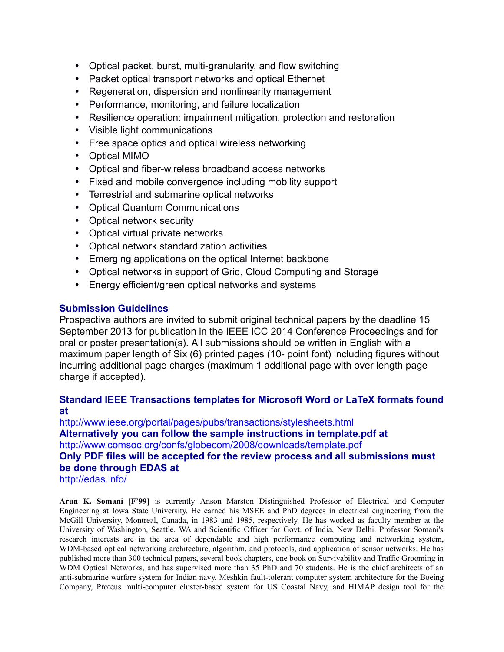- Optical packet, burst, multi-granularity, and flow switching
- Packet optical transport networks and optical Ethernet
- Regeneration, dispersion and nonlinearity management
- Performance, monitoring, and failure localization
- Resilience operation: impairment mitigation, protection and restoration
- Visible light communications
- Free space optics and optical wireless networking
- Optical MIMO
- Optical and fiber-wireless broadband access networks
- Fixed and mobile convergence including mobility support
- Terrestrial and submarine optical networks
- Optical Quantum Communications
- Optical network security
- Optical virtual private networks
- Optical network standardization activities
- Emerging applications on the optical Internet backbone
- Optical networks in support of Grid, Cloud Computing and Storage
- Energy efficient/green optical networks and systems

## **Submission Guidelines**

Prospective authors are invited to submit original technical papers by the deadline 15 September 2013 for publication in the IEEE ICC 2014 Conference Proceedings and for oral or poster presentation(s). All submissions should be written in English with a maximum paper length of Six (6) printed pages (10- point font) including figures without incurring additional page charges (maximum 1 additional page with over length page charge if accepted).

## **Standard IEEE Transactions templates for Microsoft Word or LaTeX formats found at**

http://www.ieee.org/portal/pages/pubs/transactions/stylesheets.html **Alternatively you can follow the sample instructions in template.pdf at** http://www.comsoc.org/confs/globecom/2008/downloads/template.pdf **Only PDF files will be accepted for the review process and all submissions must be done through EDAS at** http://edas.info/

**Arun K. Somani [F'99]** is currently Anson Marston Distinguished Professor of Electrical and Computer Engineering at Iowa State University. He earned his MSEE and PhD degrees in electrical engineering from the McGill University, Montreal, Canada, in 1983 and 1985, respectively. He has worked as faculty member at the University of Washington, Seattle, WA and Scientific Officer for Govt. of India, New Delhi. Professor Somani's research interests are in the area of dependable and high performance computing and networking system, WDM-based optical networking architecture, algorithm, and protocols, and application of sensor networks. He has published more than 300 technical papers, several book chapters, one book on Survivability and Traffic Grooming in WDM Optical Networks, and has supervised more than 35 PhD and 70 students. He is the chief architects of an anti-submarine warfare system for Indian navy, Meshkin fault-tolerant computer system architecture for the Boeing Company, Proteus multi-computer cluster-based system for US Coastal Navy, and HIMAP design tool for the